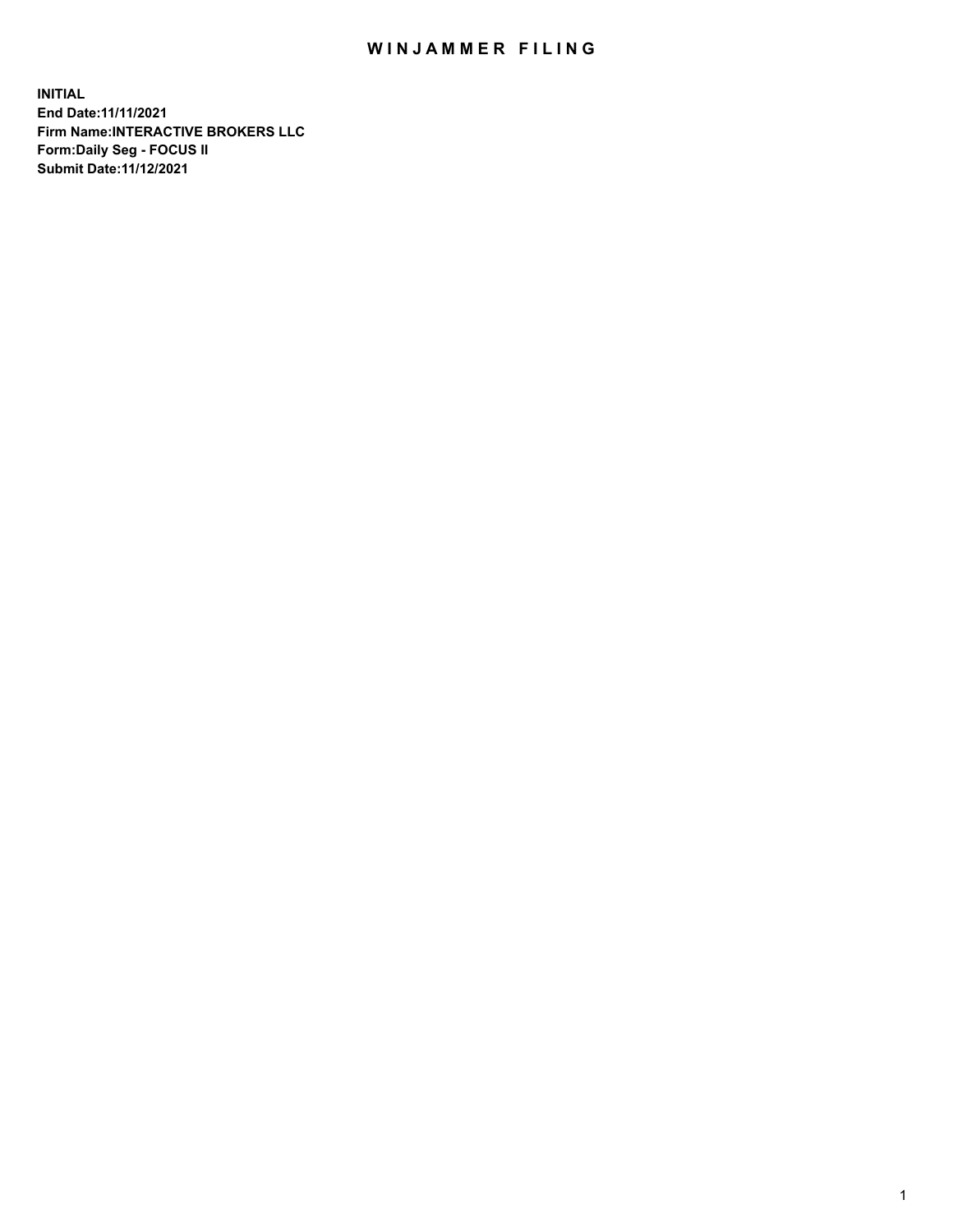## WIN JAMMER FILING

**INITIAL End Date:11/11/2021 Firm Name:INTERACTIVE BROKERS LLC Form:Daily Seg - FOCUS II Submit Date:11/12/2021**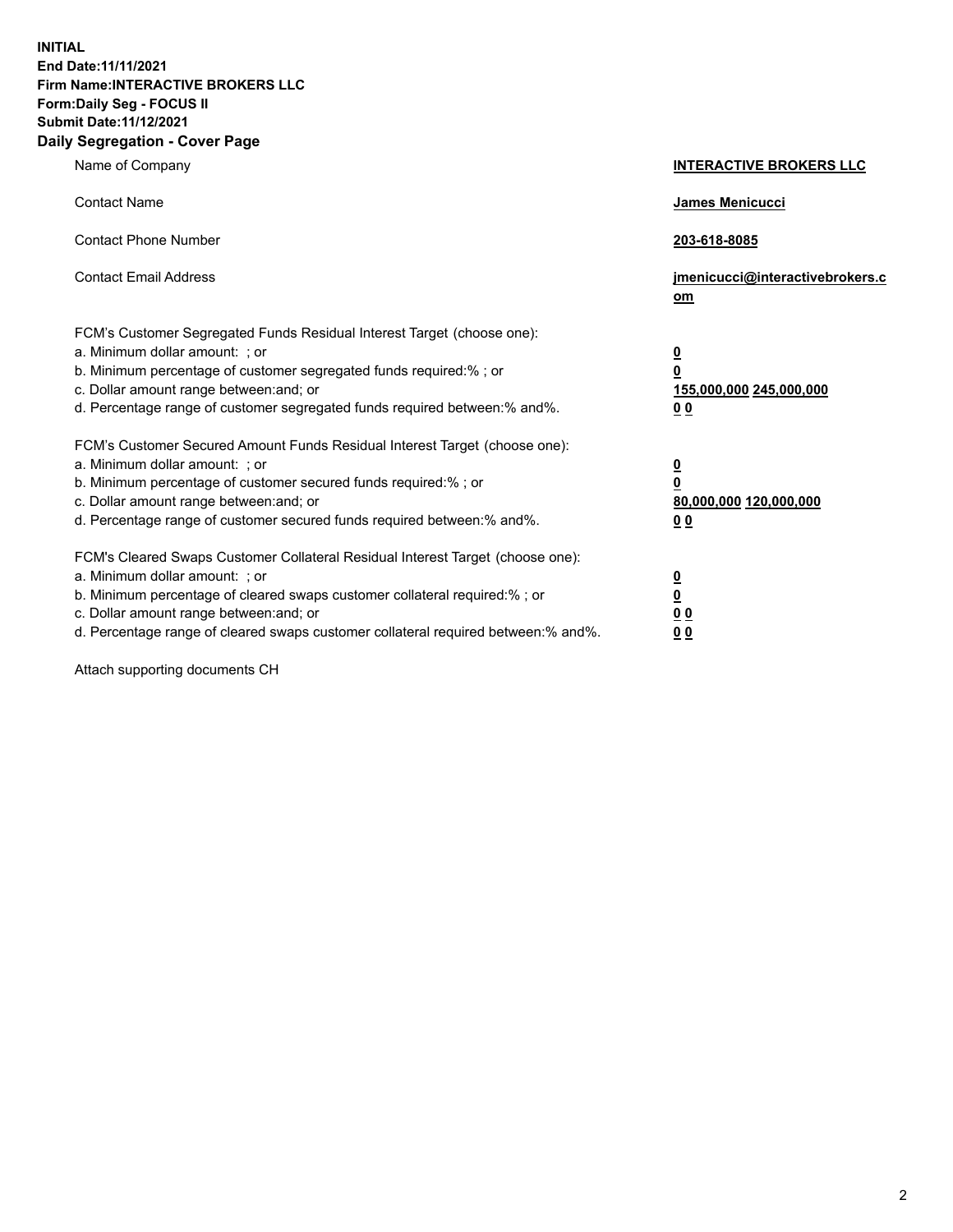**INITIAL End Date:11/11/2021 Firm Name:INTERACTIVE BROKERS LLC Form:Daily Seg - FOCUS II Submit Date:11/12/2021 Daily Segregation - Cover Page**

| Name of Company                                                                                                                                                                                                                                                                                                                | <b>INTERACTIVE BROKERS LLC</b>                                                                           |
|--------------------------------------------------------------------------------------------------------------------------------------------------------------------------------------------------------------------------------------------------------------------------------------------------------------------------------|----------------------------------------------------------------------------------------------------------|
| <b>Contact Name</b>                                                                                                                                                                                                                                                                                                            | James Menicucci                                                                                          |
| <b>Contact Phone Number</b>                                                                                                                                                                                                                                                                                                    | 203-618-8085                                                                                             |
| <b>Contact Email Address</b>                                                                                                                                                                                                                                                                                                   | jmenicucci@interactivebrokers.c<br>om                                                                    |
| FCM's Customer Segregated Funds Residual Interest Target (choose one):<br>a. Minimum dollar amount: ; or<br>b. Minimum percentage of customer segregated funds required:% ; or<br>c. Dollar amount range between: and; or<br>d. Percentage range of customer segregated funds required between:% and%.                         | $\overline{\mathbf{0}}$<br>$\overline{\mathbf{0}}$<br>155,000,000 245,000,000<br>0 <sub>0</sub>          |
| FCM's Customer Secured Amount Funds Residual Interest Target (choose one):<br>a. Minimum dollar amount: ; or<br>b. Minimum percentage of customer secured funds required:%; or<br>c. Dollar amount range between: and; or<br>d. Percentage range of customer secured funds required between:% and%.                            | $\overline{\mathbf{0}}$<br>$\overline{\mathbf{0}}$<br>80,000,000 120,000,000<br>00                       |
| FCM's Cleared Swaps Customer Collateral Residual Interest Target (choose one):<br>a. Minimum dollar amount: ; or<br>b. Minimum percentage of cleared swaps customer collateral required:% ; or<br>c. Dollar amount range between: and; or<br>d. Percentage range of cleared swaps customer collateral required between:% and%. | $\overline{\mathbf{0}}$<br>$\underline{\mathbf{0}}$<br>$\underline{0}$ $\underline{0}$<br>0 <sub>0</sub> |

Attach supporting documents CH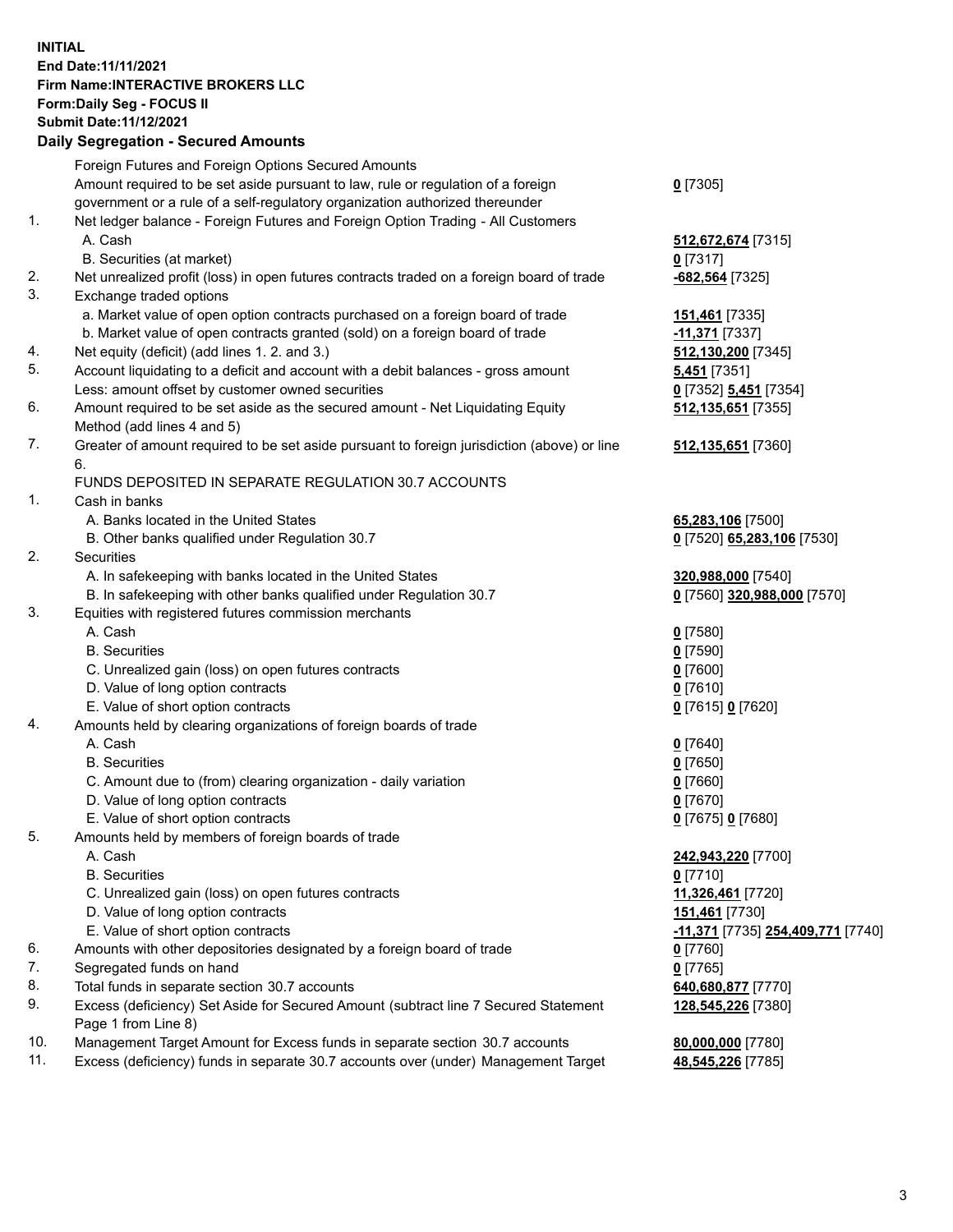## **INITIAL End Date:11/11/2021 Firm Name:INTERACTIVE BROKERS LLC Form:Daily Seg - FOCUS II Submit Date:11/12/2021 Daily Segregation - Secured Amounts**

|     | Dany Ocgregation - Oceanca Anioante                                                         |                                                       |
|-----|---------------------------------------------------------------------------------------------|-------------------------------------------------------|
|     | Foreign Futures and Foreign Options Secured Amounts                                         |                                                       |
|     | Amount required to be set aside pursuant to law, rule or regulation of a foreign            | $0$ [7305]                                            |
|     | government or a rule of a self-regulatory organization authorized thereunder                |                                                       |
| 1.  | Net ledger balance - Foreign Futures and Foreign Option Trading - All Customers             |                                                       |
|     | A. Cash                                                                                     | 512,672,674 [7315]                                    |
|     | B. Securities (at market)                                                                   | $0$ [7317]                                            |
| 2.  | Net unrealized profit (loss) in open futures contracts traded on a foreign board of trade   | -682,564 [7325]                                       |
| 3.  | Exchange traded options                                                                     |                                                       |
|     | a. Market value of open option contracts purchased on a foreign board of trade              | 151,461 [7335]                                        |
|     | b. Market value of open contracts granted (sold) on a foreign board of trade                | -11,371 [7337]                                        |
| 4.  | Net equity (deficit) (add lines 1. 2. and 3.)                                               | 512,130,200 [7345]                                    |
| 5.  | Account liquidating to a deficit and account with a debit balances - gross amount           | <b>5,451</b> [7351]                                   |
|     | Less: amount offset by customer owned securities                                            | 0 [7352] 5,451 [7354]                                 |
| 6.  | Amount required to be set aside as the secured amount - Net Liquidating Equity              | 512, 135, 651 [7355]                                  |
|     | Method (add lines 4 and 5)                                                                  |                                                       |
| 7.  | Greater of amount required to be set aside pursuant to foreign jurisdiction (above) or line | 512, 135, 651 [7360]                                  |
|     | 6.                                                                                          |                                                       |
|     | FUNDS DEPOSITED IN SEPARATE REGULATION 30.7 ACCOUNTS                                        |                                                       |
| 1.  | Cash in banks                                                                               |                                                       |
|     | A. Banks located in the United States                                                       | 65,283,106 [7500]                                     |
|     | B. Other banks qualified under Regulation 30.7                                              | 0 [7520] 65,283,106 [7530]                            |
| 2.  | Securities                                                                                  |                                                       |
|     | A. In safekeeping with banks located in the United States                                   | 320,988,000 [7540]                                    |
|     | B. In safekeeping with other banks qualified under Regulation 30.7                          | 0 [7560] 320,988,000 [7570]                           |
| 3.  | Equities with registered futures commission merchants                                       |                                                       |
|     | A. Cash                                                                                     | $Q$ [7580]                                            |
|     | <b>B.</b> Securities                                                                        | $0$ [7590]                                            |
|     | C. Unrealized gain (loss) on open futures contracts                                         | $0$ [7600]                                            |
|     | D. Value of long option contracts                                                           | $0$ [7610]                                            |
|     | E. Value of short option contracts                                                          | 0 [7615] 0 [7620]                                     |
| 4.  | Amounts held by clearing organizations of foreign boards of trade                           |                                                       |
|     | A. Cash                                                                                     | $Q$ [7640]                                            |
|     | <b>B.</b> Securities                                                                        | $0$ [7650]                                            |
|     | C. Amount due to (from) clearing organization - daily variation                             | $0$ [7660]                                            |
|     | D. Value of long option contracts                                                           | $0$ [7670]                                            |
|     | E. Value of short option contracts                                                          | 0 [7675] 0 [7680]                                     |
| 5.  | Amounts held by members of foreign boards of trade                                          |                                                       |
|     | A. Cash                                                                                     | 242,943,220 [7700]                                    |
|     | <b>B.</b> Securities                                                                        | $0$ [7710]                                            |
|     | C. Unrealized gain (loss) on open futures contracts                                         | 11,326,461 [7720]                                     |
|     | D. Value of long option contracts                                                           | <b>151,461</b> [7730]                                 |
|     | E. Value of short option contracts                                                          | <mark>-11,371</mark> [7735] <b>254,409,771</b> [7740] |
| 6.  | Amounts with other depositories designated by a foreign board of trade                      | $0$ [7760]                                            |
| 7.  | Segregated funds on hand                                                                    | $0$ [7765]                                            |
| 8.  | Total funds in separate section 30.7 accounts                                               | 640,680,877 [7770]                                    |
| 9.  | Excess (deficiency) Set Aside for Secured Amount (subtract line 7 Secured Statement         | 128,545,226 [7380]                                    |
|     | Page 1 from Line 8)                                                                         |                                                       |
| 10. | Management Target Amount for Excess funds in separate section 30.7 accounts                 | 80,000,000 [7780]                                     |
| 11. | Excess (deficiency) funds in separate 30.7 accounts over (under) Management Target          | 48,545,226 [7785]                                     |
|     |                                                                                             |                                                       |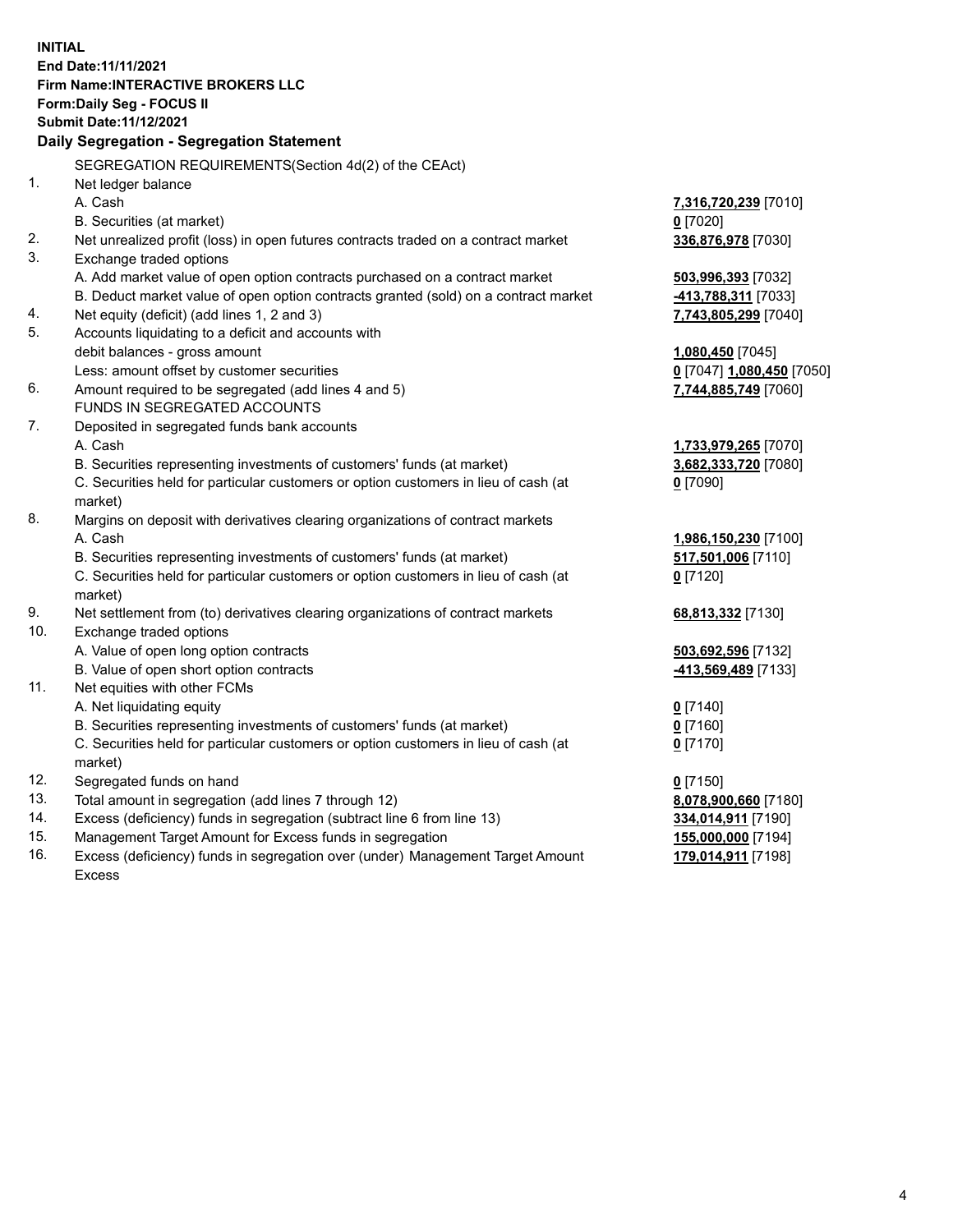**INITIAL End Date:11/11/2021 Firm Name:INTERACTIVE BROKERS LLC Form:Daily Seg - FOCUS II Submit Date:11/12/2021 Daily Segregation - Segregation Statement** SEGREGATION REQUIREMENTS(Section 4d(2) of the CEAct) 1. Net ledger balance A. Cash **7,316,720,239** [7010] B. Securities (at market) **0** [7020] 2. Net unrealized profit (loss) in open futures contracts traded on a contract market **336,876,978** [7030] 3. Exchange traded options A. Add market value of open option contracts purchased on a contract market **503,996,393** [7032] B. Deduct market value of open option contracts granted (sold) on a contract market **-413,788,311** [7033] 4. Net equity (deficit) (add lines 1, 2 and 3) **7,743,805,299** [7040] 5. Accounts liquidating to a deficit and accounts with debit balances - gross amount **1,080,450** [7045] Less: amount offset by customer securities **0** [7047] **1,080,450** [7050] 6. Amount required to be segregated (add lines 4 and 5) **7,744,885,749** [7060] FUNDS IN SEGREGATED ACCOUNTS 7. Deposited in segregated funds bank accounts A. Cash **1,733,979,265** [7070] B. Securities representing investments of customers' funds (at market) **3,682,333,720** [7080] C. Securities held for particular customers or option customers in lieu of cash (at market) **0** [7090] 8. Margins on deposit with derivatives clearing organizations of contract markets A. Cash **1,986,150,230** [7100] B. Securities representing investments of customers' funds (at market) **517,501,006** [7110] C. Securities held for particular customers or option customers in lieu of cash (at market) **0** [7120] 9. Net settlement from (to) derivatives clearing organizations of contract markets **68,813,332** [7130] 10. Exchange traded options A. Value of open long option contracts **503,692,596** [7132] B. Value of open short option contracts **-413,569,489** [7133] 11. Net equities with other FCMs A. Net liquidating equity **0** [7140] B. Securities representing investments of customers' funds (at market) **0** [7160] C. Securities held for particular customers or option customers in lieu of cash (at market) **0** [7170] 12. Segregated funds on hand **0** [7150] 13. Total amount in segregation (add lines 7 through 12) **8,078,900,660** [7180] 14. Excess (deficiency) funds in segregation (subtract line 6 from line 13) **334,014,911** [7190] 15. Management Target Amount for Excess funds in segregation **155,000,000** [7194] 16. Excess (deficiency) funds in segregation over (under) Management Target Amount Excess **179,014,911** [7198]